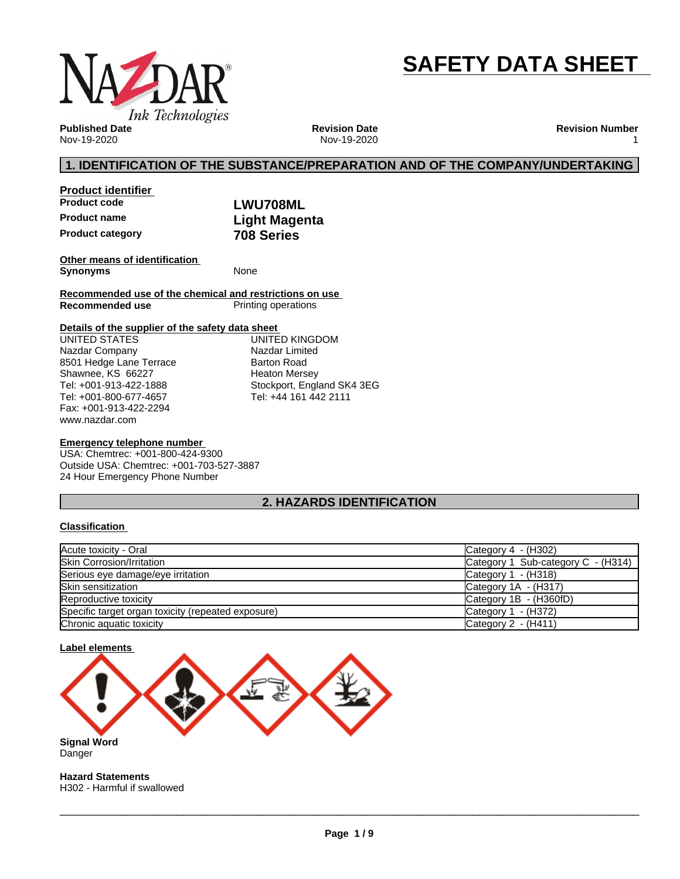

# **SAFETY DATA SHEET**

**Published Date** Nov-19-2020

**Revision Date** Nov-19-2020 **Revision Number** 1

### **1. IDENTIFICATION OF THE SUBSTANCE/PREPARATION AND OF THE COMPANY/UNDERTAKING**

**Product identifier Product name Light Magenta Product category 708 Series**

**Product code LWU708ML**

**Other means of identification Synonyms** None

**Recommended use of the chemical and restrictions on use Printing operations** 

### **Details of the supplier of the safety data sheet**

www.nazdar.com UNITED STATES Nazdar Company 8501 Hedge Lane Terrace Shawnee, KS 66227 Tel: +001-913-422-1888 Tel: +001-800-677-4657 Fax: +001-913-422-2294

UNITED KINGDOM Nazdar Limited Barton Road Heaton Mersey Stockport, England SK4 3EG Tel: +44 161 442 2111

### **Emergency telephone number**

USA: Chemtrec: +001-800-424-9300 Outside USA: Chemtrec: +001-703-527-3887 24 Hour Emergency Phone Number

### **2. HAZARDS IDENTIFICATION**

### **Classification**

| Acute toxicity - Oral                              | Category $4 - (H302)$              |
|----------------------------------------------------|------------------------------------|
| <b>Skin Corrosion/Irritation</b>                   | Category 1 Sub-category C - (H314) |
| Serious eye damage/eye irritation                  | Category $1 - (H318)$              |
| <b>Skin sensitization</b>                          | Category $1A - (H317)$             |
| Reproductive toxicity                              | Category 1B - (H360fD)             |
| Specific target organ toxicity (repeated exposure) | Category 1 - (H372)                |
| Chronic aquatic toxicity                           | Category 2 - (H411)                |



**Signal Word** Danger

**Hazard Statements** H302 - Harmful if swallowed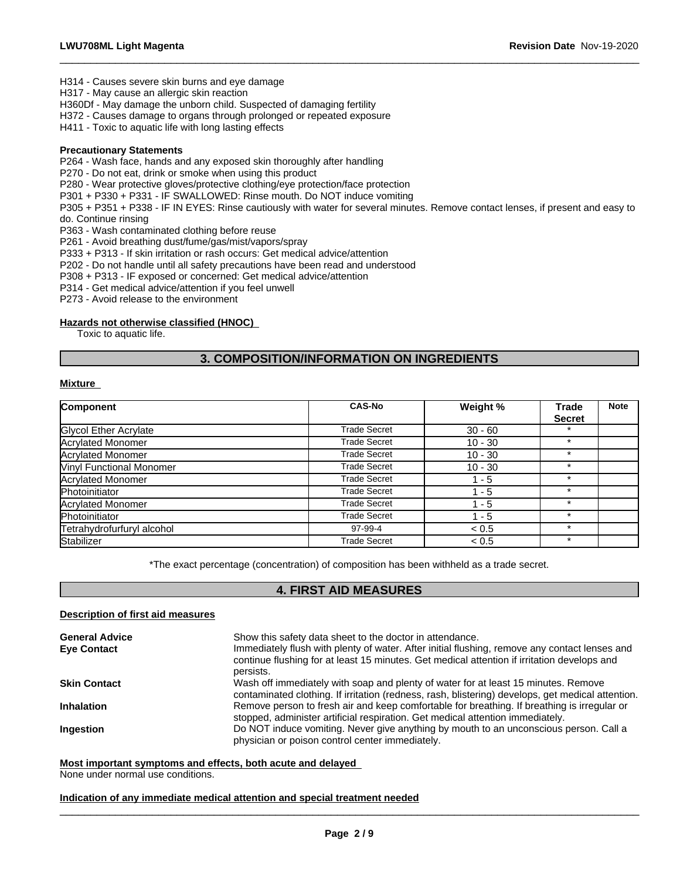H314 - Causes severe skin burns and eye damage

H317 - May cause an allergic skin reaction

H360Df - May damage the unborn child. Suspected of damaging fertility

H372 - Causes damage to organs through prolonged or repeated exposure

H411 - Toxic to aquatic life with long lasting effects

#### **Precautionary Statements**

P264 - Wash face, hands and any exposed skin thoroughly after handling

P270 - Do not eat, drink or smoke when using this product

P280 - Wear protective gloves/protective clothing/eye protection/face protection

P301 + P330 + P331 - IF SWALLOWED: Rinse mouth. Do NOT induce vomiting

P305 + P351 + P338 - IF IN EYES: Rinse cautiously with water forseveral minutes. Remove contact lenses, if present and easy to do. Continue rinsing

 $\_$  ,  $\_$  ,  $\_$  ,  $\_$  ,  $\_$  ,  $\_$  ,  $\_$  ,  $\_$  ,  $\_$  ,  $\_$  ,  $\_$  ,  $\_$  ,  $\_$  ,  $\_$  ,  $\_$  ,  $\_$  ,  $\_$  ,  $\_$  ,  $\_$  ,  $\_$  ,  $\_$  ,  $\_$  ,  $\_$  ,  $\_$  ,  $\_$  ,  $\_$  ,  $\_$  ,  $\_$  ,  $\_$  ,  $\_$  ,  $\_$  ,  $\_$  ,  $\_$  ,  $\_$  ,  $\_$  ,  $\_$  ,  $\_$  ,

P363 - Wash contaminated clothing before reuse

P261 - Avoid breathing dust/fume/gas/mist/vapors/spray

P333 + P313 - If skin irritation or rash occurs: Get medical advice/attention

P202 - Do not handle until all safety precautions have been read and understood

P308 + P313 - IF exposed or concerned: Get medical advice/attention

P314 - Get medical advice/attention if you feel unwell

P273 - Avoid release to the environment

### **Hazards not otherwise classified (HNOC)**

Toxic to aquatic life.

### **3. COMPOSITION/INFORMATION ON INGREDIENTS**

### **Mixture**

| Component                       | <b>CAS-No</b>       | Weight %  | <b>Trade</b>  | <b>Note</b> |
|---------------------------------|---------------------|-----------|---------------|-------------|
|                                 |                     |           | <b>Secret</b> |             |
| Glycol Ether Acrylate           | <b>Trade Secret</b> | $30 - 60$ |               |             |
| <b>Acrylated Monomer</b>        | <b>Trade Secret</b> | $10 - 30$ | $\star$       |             |
| Acrylated Monomer               | <b>Trade Secret</b> | $10 - 30$ | $\star$       |             |
| <b>Vinyl Functional Monomer</b> | <b>Trade Secret</b> | $10 - 30$ | $\star$       |             |
| Acrylated Monomer               | <b>Trade Secret</b> | 1 - 5     | $\star$       |             |
| Photoinitiator                  | <b>Trade Secret</b> | $1 - 5$   | ÷             |             |
| Acrylated Monomer               | <b>Trade Secret</b> | $1 - 5$   |               |             |
| Photoinitiator                  | Trade Secret        | $1 - 5$   | $\star$       |             |
| Tetrahydrofurfuryl alcohol      | 97-99-4             | < 0.5     | $\star$       |             |
| Stabilizer                      | <b>Trade Secret</b> | < 0.5     | $\star$       |             |

\*The exact percentage (concentration) of composition has been withheld as a trade secret.

### **4. FIRST AID MEASURES**

### **Description of first aid measures**

| <b>General Advice</b><br><b>Eye Contact</b> | Show this safety data sheet to the doctor in attendance.<br>Immediately flush with plenty of water. After initial flushing, remove any contact lenses and<br>continue flushing for at least 15 minutes. Get medical attention if irritation develops and<br>persists. |
|---------------------------------------------|-----------------------------------------------------------------------------------------------------------------------------------------------------------------------------------------------------------------------------------------------------------------------|
| <b>Skin Contact</b>                         | Wash off immediately with soap and plenty of water for at least 15 minutes. Remove<br>contaminated clothing. If irritation (redness, rash, blistering) develops, get medical attention.                                                                               |
| <b>Inhalation</b>                           | Remove person to fresh air and keep comfortable for breathing. If breathing is irregular or<br>stopped, administer artificial respiration. Get medical attention immediately.                                                                                         |
| Ingestion                                   | Do NOT induce vomiting. Never give anything by mouth to an unconscious person. Call a<br>physician or poison control center immediately.                                                                                                                              |

## **Most important symptoms and effects, both acute and delayed**

None under normal use conditions.

### **Indication of any immediate medical attention and special treatment needed**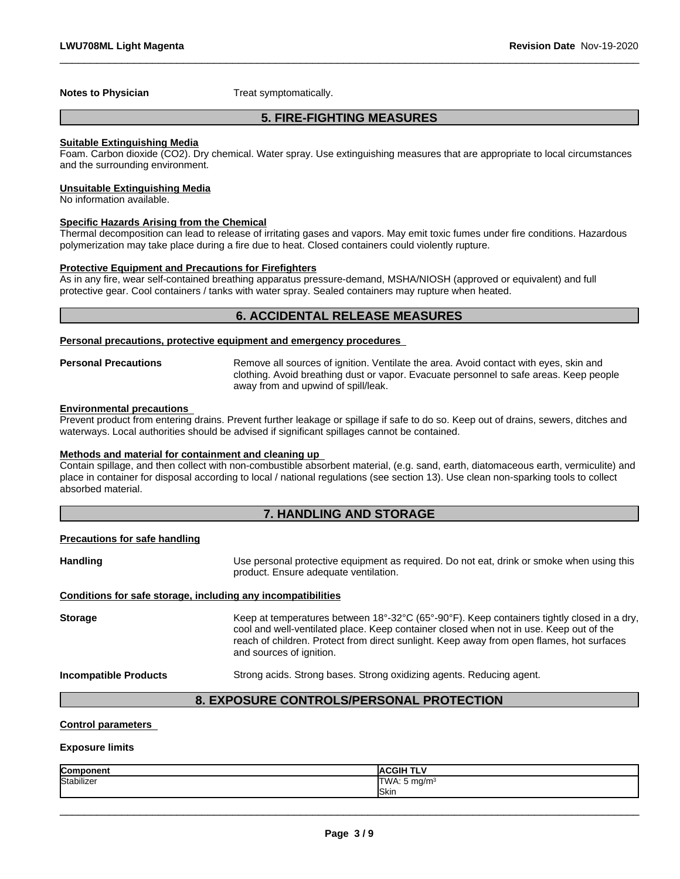**Notes to Physician** Treat symptomatically.

### **5. FIRE-FIGHTING MEASURES**

 $\_$  ,  $\_$  ,  $\_$  ,  $\_$  ,  $\_$  ,  $\_$  ,  $\_$  ,  $\_$  ,  $\_$  ,  $\_$  ,  $\_$  ,  $\_$  ,  $\_$  ,  $\_$  ,  $\_$  ,  $\_$  ,  $\_$  ,  $\_$  ,  $\_$  ,  $\_$  ,  $\_$  ,  $\_$  ,  $\_$  ,  $\_$  ,  $\_$  ,  $\_$  ,  $\_$  ,  $\_$  ,  $\_$  ,  $\_$  ,  $\_$  ,  $\_$  ,  $\_$  ,  $\_$  ,  $\_$  ,  $\_$  ,  $\_$  ,

#### **Suitable Extinguishing Media**

Foam. Carbon dioxide (CO2). Dry chemical. Water spray. Use extinguishing measures that are appropriate to local circumstances and the surrounding environment.

#### **Unsuitable Extinguishing Media**

No information available.

#### **Specific Hazards Arising from the Chemical**

Thermal decomposition can lead to release of irritating gases and vapors. May emit toxic fumes under fire conditions. Hazardous polymerization may take place during a fire due to heat. Closed containers could violently rupture.

### **Protective Equipment and Precautions for Firefighters**

As in any fire, wear self-contained breathing apparatus pressure-demand, MSHA/NIOSH (approved or equivalent) and full protective gear. Cool containers / tanks with water spray. Sealed containers may rupture when heated.

### **6. ACCIDENTAL RELEASE MEASURES**

#### **Personal precautions, protective equipment and emergency procedures**

**Personal Precautions** Remove all sources of ignition. Ventilate the area. Avoid contact with eyes, skin and clothing. Avoid breathing dust or vapor. Evacuate personnel to safe areas. Keep people away from and upwind of spill/leak.

#### **Environmental precautions**

Prevent product from entering drains. Prevent further leakage or spillage if safe to do so. Keep out of drains, sewers, ditches and waterways. Local authorities should be advised if significant spillages cannot be contained.

### **Methods and material for containment and cleaning up**

Contain spillage, and then collect with non-combustible absorbent material, (e.g. sand, earth, diatomaceous earth, vermiculite) and place in container for disposal according to local / national regulations (see section 13). Use clean non-sparking tools to collect absorbed material.

### **7. HANDLING AND STORAGE**

### **Precautions for safe handling**

Handling **Handling Example 20** Use personal protective equipment as required. Do not eat, drink or smoke when using this product. Ensure adequate ventilation.

### **Conditions for safe storage, including any incompatibilities**

Storage **Keep at temperatures between 18°-32°C (65°-90°F). Keep containers tightly closed in a dry,** cool and well-ventilated place. Keep container closed when not in use. Keep out of the reach of children. Protect from direct sunlight. Keep away from open flames, hot surfaces and sources of ignition.

**Incompatible Products** Strong acids. Strong bases. Strong oxidizing agents. Reducing agent.

 $\_$  ,  $\_$  ,  $\_$  ,  $\_$  ,  $\_$  ,  $\_$  ,  $\_$  ,  $\_$  ,  $\_$  ,  $\_$  ,  $\_$  ,  $\_$  ,  $\_$  ,  $\_$  ,  $\_$  ,  $\_$  ,  $\_$  ,  $\_$  ,  $\_$  ,  $\_$  ,  $\_$  ,  $\_$  ,  $\_$  ,  $\_$  ,  $\_$  ,  $\_$  ,  $\_$  ,  $\_$  ,  $\_$  ,  $\_$  ,  $\_$  ,  $\_$  ,  $\_$  ,  $\_$  ,  $\_$  ,  $\_$  ,  $\_$  ,

### **8. EXPOSURE CONTROLS/PERSONAL PROTECTION**

### **Control parameters**

### **Exposure limits**

| Component  | <b>IACGIH TI '</b>                                 |
|------------|----------------------------------------------------|
| Stabilizer | <b>ITWA</b><br>i ma/m <sup>3</sup><br>$V =$<br>. ט |
|            | Skin                                               |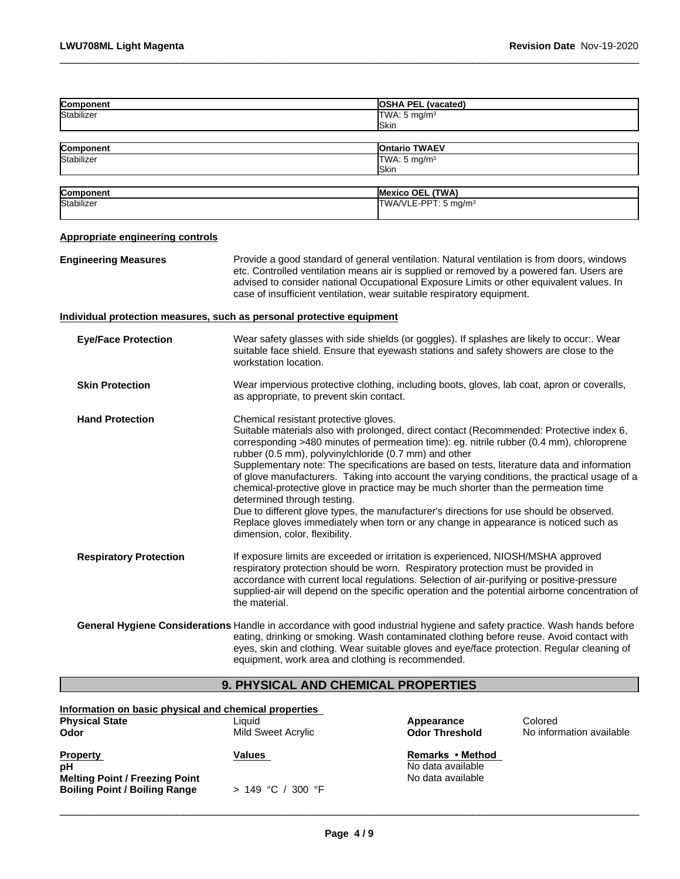| Component                               | <b>OSHA PEL (vacated)</b>                                                                                                                                                                                                                                                                                                                                                                                                                                                                                                                                                                                                                                                                                                                                                                                                     |  |
|-----------------------------------------|-------------------------------------------------------------------------------------------------------------------------------------------------------------------------------------------------------------------------------------------------------------------------------------------------------------------------------------------------------------------------------------------------------------------------------------------------------------------------------------------------------------------------------------------------------------------------------------------------------------------------------------------------------------------------------------------------------------------------------------------------------------------------------------------------------------------------------|--|
| Stabilizer                              | TWA: $5 \text{ mg/m}^3$                                                                                                                                                                                                                                                                                                                                                                                                                                                                                                                                                                                                                                                                                                                                                                                                       |  |
|                                         | Skin                                                                                                                                                                                                                                                                                                                                                                                                                                                                                                                                                                                                                                                                                                                                                                                                                          |  |
| Component                               | <b>Ontario TWAEV</b>                                                                                                                                                                                                                                                                                                                                                                                                                                                                                                                                                                                                                                                                                                                                                                                                          |  |
| Stabilizer                              | TWA: $5 \text{ mg/m}^3$                                                                                                                                                                                                                                                                                                                                                                                                                                                                                                                                                                                                                                                                                                                                                                                                       |  |
|                                         | Skin                                                                                                                                                                                                                                                                                                                                                                                                                                                                                                                                                                                                                                                                                                                                                                                                                          |  |
|                                         |                                                                                                                                                                                                                                                                                                                                                                                                                                                                                                                                                                                                                                                                                                                                                                                                                               |  |
| Component                               | <b>Mexico OEL (TWA)</b>                                                                                                                                                                                                                                                                                                                                                                                                                                                                                                                                                                                                                                                                                                                                                                                                       |  |
| Stabilizer                              | TWA/VLE-PPT: 5 mg/m <sup>3</sup>                                                                                                                                                                                                                                                                                                                                                                                                                                                                                                                                                                                                                                                                                                                                                                                              |  |
| <b>Appropriate engineering controls</b> |                                                                                                                                                                                                                                                                                                                                                                                                                                                                                                                                                                                                                                                                                                                                                                                                                               |  |
| <b>Engineering Measures</b>             | Provide a good standard of general ventilation. Natural ventilation is from doors, windows<br>etc. Controlled ventilation means air is supplied or removed by a powered fan. Users are<br>advised to consider national Occupational Exposure Limits or other equivalent values. In<br>case of insufficient ventilation, wear suitable respiratory equipment.                                                                                                                                                                                                                                                                                                                                                                                                                                                                  |  |
|                                         | Individual protection measures, such as personal protective equipment                                                                                                                                                                                                                                                                                                                                                                                                                                                                                                                                                                                                                                                                                                                                                         |  |
| <b>Eye/Face Protection</b>              | Wear safety glasses with side shields (or goggles). If splashes are likely to occur:. Wear<br>suitable face shield. Ensure that eyewash stations and safety showers are close to the<br>workstation location.                                                                                                                                                                                                                                                                                                                                                                                                                                                                                                                                                                                                                 |  |
| <b>Skin Protection</b>                  | Wear impervious protective clothing, including boots, gloves, lab coat, apron or coveralls,<br>as appropriate, to prevent skin contact.                                                                                                                                                                                                                                                                                                                                                                                                                                                                                                                                                                                                                                                                                       |  |
| <b>Hand Protection</b>                  | Chemical resistant protective gloves.<br>Suitable materials also with prolonged, direct contact (Recommended: Protective index 6,<br>corresponding >480 minutes of permeation time): eg. nitrile rubber (0.4 mm), chloroprene<br>rubber (0.5 mm), polyvinylchloride (0.7 mm) and other<br>Supplementary note: The specifications are based on tests, literature data and information<br>of glove manufacturers. Taking into account the varying conditions, the practical usage of a<br>chemical-protective glove in practice may be much shorter than the permeation time<br>determined through testing.<br>Due to different glove types, the manufacturer's directions for use should be observed.<br>Replace gloves immediately when torn or any change in appearance is noticed such as<br>dimension, color, flexibility. |  |
| <b>Respiratory Protection</b>           | If exposure limits are exceeded or irritation is experienced, NIOSH/MSHA approved<br>respiratory protection should be worn. Respiratory protection must be provided in<br>accordance with current local regulations. Selection of air-purifying or positive-pressure<br>supplied-air will depend on the specific operation and the potential airborne concentration of<br>the material.                                                                                                                                                                                                                                                                                                                                                                                                                                       |  |
|                                         | General Hygiene Considerations Handle in accordance with good industrial hygiene and safety practice. Wash hands before<br>eating, drinking or smoking. Wash contaminated clothing before reuse. Avoid contact with<br>eyes, skin and clothing. Wear suitable gloves and eye/face protection. Regular cleaning of<br>equipment, work area and clothing is recommended.                                                                                                                                                                                                                                                                                                                                                                                                                                                        |  |

 $\_$  ,  $\_$  ,  $\_$  ,  $\_$  ,  $\_$  ,  $\_$  ,  $\_$  ,  $\_$  ,  $\_$  ,  $\_$  ,  $\_$  ,  $\_$  ,  $\_$  ,  $\_$  ,  $\_$  ,  $\_$  ,  $\_$  ,  $\_$  ,  $\_$  ,  $\_$  ,  $\_$  ,  $\_$  ,  $\_$  ,  $\_$  ,  $\_$  ,  $\_$  ,  $\_$  ,  $\_$  ,  $\_$  ,  $\_$  ,  $\_$  ,  $\_$  ,  $\_$  ,  $\_$  ,  $\_$  ,  $\_$  ,  $\_$  ,

### **9. PHYSICAL AND CHEMICAL PROPERTIES**

| Information on basic physical and chemical properties<br><b>Physical State</b><br>Odor                 | Liauid<br>Mild Sweet Acrylic | Appearance<br><b>Odor Threshold</b>                        | Colored<br>No information available |
|--------------------------------------------------------------------------------------------------------|------------------------------|------------------------------------------------------------|-------------------------------------|
| <b>Property</b><br>рH<br><b>Melting Point / Freezing Point</b><br><b>Boiling Point / Boiling Range</b> | Values<br>> 149 °C / 300 °F  | Remarks • Method<br>No data available<br>No data available |                                     |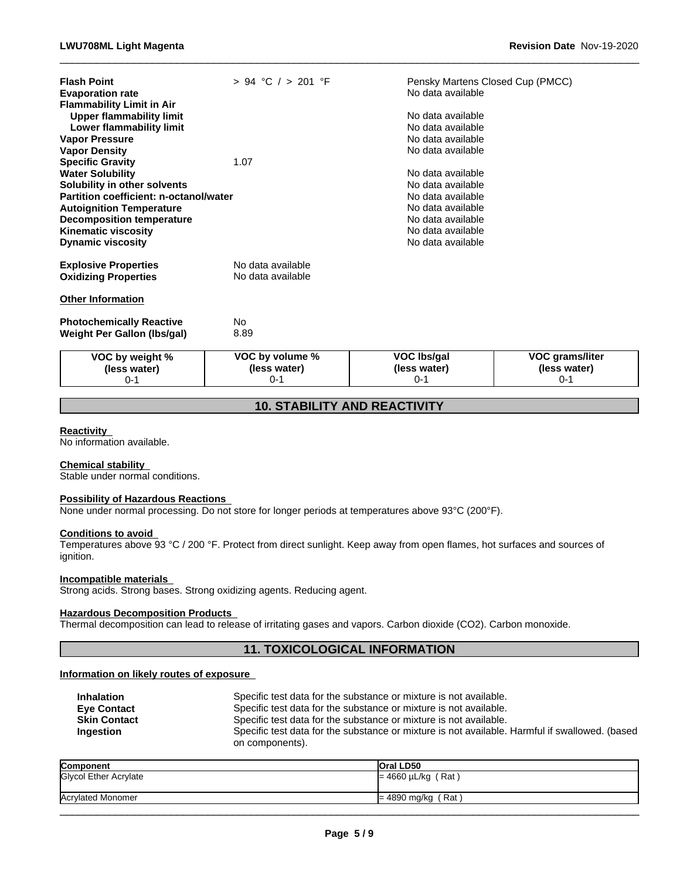**(less water)** 0-1

| VOC by weight %                                                                                                                                                                                                                                                                                                                                                                                                   | VOC by volume %                        | <b>VOC Ibs/gal</b>                                                                                                                                                                                                                  | <b>VOC grams/liter</b> |
|-------------------------------------------------------------------------------------------------------------------------------------------------------------------------------------------------------------------------------------------------------------------------------------------------------------------------------------------------------------------------------------------------------------------|----------------------------------------|-------------------------------------------------------------------------------------------------------------------------------------------------------------------------------------------------------------------------------------|------------------------|
| <b>Photochemically Reactive</b><br><b>Weight Per Gallon (Ibs/gal)</b>                                                                                                                                                                                                                                                                                                                                             | No.<br>8.89                            |                                                                                                                                                                                                                                     |                        |
| <b>Other Information</b>                                                                                                                                                                                                                                                                                                                                                                                          |                                        |                                                                                                                                                                                                                                     |                        |
| <b>Explosive Properties</b><br><b>Oxidizing Properties</b>                                                                                                                                                                                                                                                                                                                                                        | No data available<br>No data available |                                                                                                                                                                                                                                     |                        |
| <b>Flammability Limit in Air</b><br><b>Upper flammability limit</b><br>Lower flammability limit<br><b>Vapor Pressure</b><br><b>Vapor Density</b><br><b>Specific Gravity</b><br><b>Water Solubility</b><br>Solubility in other solvents<br>Partition coefficient: n-octanol/water<br><b>Autoignition Temperature</b><br><b>Decomposition temperature</b><br><b>Kinematic viscosity</b><br><b>Dynamic viscosity</b> | 1.07                                   | No data available<br>No data available<br>No data available<br>No data available<br>No data available<br>No data available<br>No data available<br>No data available<br>No data available<br>No data available<br>No data available |                        |
| <b>Flash Point</b><br><b>Evaporation rate</b>                                                                                                                                                                                                                                                                                                                                                                     | $> 94$ °C $/ > 201$ °F                 | Pensky Martens Closed Cup (PMCC)<br>No data available                                                                                                                                                                               |                        |

 $\_$  ,  $\_$  ,  $\_$  ,  $\_$  ,  $\_$  ,  $\_$  ,  $\_$  ,  $\_$  ,  $\_$  ,  $\_$  ,  $\_$  ,  $\_$  ,  $\_$  ,  $\_$  ,  $\_$  ,  $\_$  ,  $\_$  ,  $\_$  ,  $\_$  ,  $\_$  ,  $\_$  ,  $\_$  ,  $\_$  ,  $\_$  ,  $\_$  ,  $\_$  ,  $\_$  ,  $\_$  ,  $\_$  ,  $\_$  ,  $\_$  ,  $\_$  ,  $\_$  ,  $\_$  ,  $\_$  ,  $\_$  ,  $\_$  ,

**(less water)** 0-1

### **10. STABILITY AND REACTIVITY**

### **Reactivity**

No information available.

### **Chemical stability**

Stable under normal conditions.

**(less water)** 0-1

### **Possibility of Hazardous Reactions**

None under normal processing. Do not store for longer periods at temperatures above 93°C (200°F).

**(less water)** 0-1

### **Conditions to avoid**

Temperatures above 93 °C / 200 °F. Protect from direct sunlight. Keep away from open flames, hot surfaces and sources of ignition.

### **Incompatible materials**

Strong acids. Strong bases. Strong oxidizing agents. Reducing agent.

### **Hazardous Decomposition Products**

Thermal decomposition can lead to release of irritating gases and vapors. Carbon dioxide (CO2). Carbon monoxide.

### **11. TOXICOLOGICAL INFORMATION**

### **Information on likely routes of exposure**

| <b>Inhalation</b>   | Specific test data for the substance or mixture is not available.                              |
|---------------------|------------------------------------------------------------------------------------------------|
| <b>Eve Contact</b>  | Specific test data for the substance or mixture is not available.                              |
| <b>Skin Contact</b> | Specific test data for the substance or mixture is not available.                              |
| Ingestion           | Specific test data for the substance or mixture is not available. Harmful if swallowed. (based |
|                     | on components).                                                                                |

| Component                | <b>Oral LD50</b>       |
|--------------------------|------------------------|
| Glycol Ether Acrylate    | ⊫ 4660 µL/kg<br>[Rat]  |
|                          |                        |
| <b>Acrylated Monomer</b> | (Rat<br>$= 4890$ mg/kg |
|                          |                        |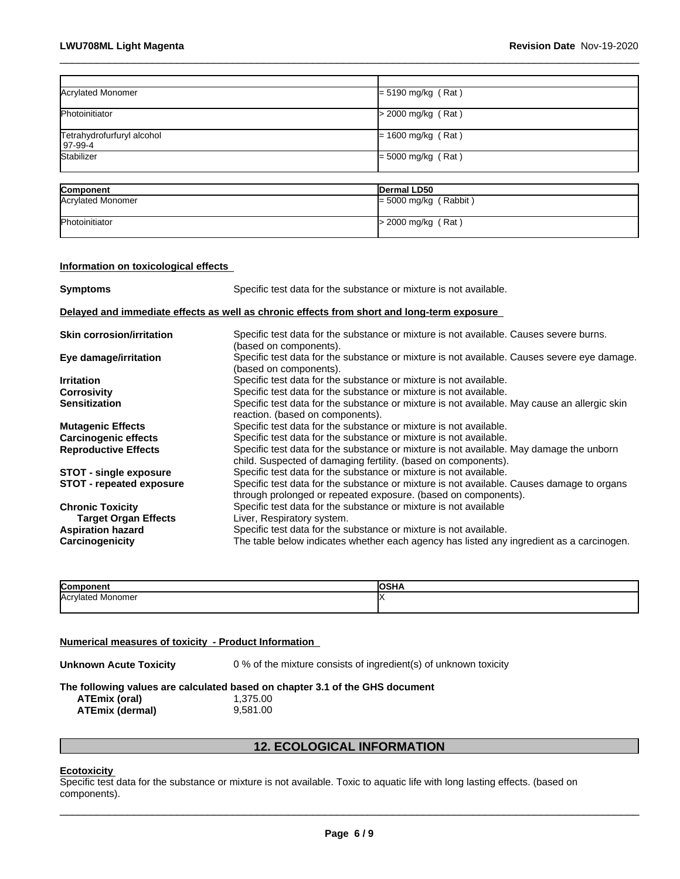| Acrylated Monomer                       | $= 5190$ mg/kg (Rat)    |
|-----------------------------------------|-------------------------|
| Photoinitiator                          | > 2000 mg/kg (Rat)      |
| Tetrahydrofurfuryl alcohol<br>  97-99-4 | $= 1600$ mg/kg (Rat)    |
| Stabilizer                              | $=$ 5000 mg/kg (Rat)    |
|                                         |                         |
| Component                               | Dermal LD50             |
| Acrylated Monomer                       | $=$ 5000 mg/kg (Rabbit) |
| Photoinitiator                          | > 2000 mg/kg (Rat)      |

 $\_$  ,  $\_$  ,  $\_$  ,  $\_$  ,  $\_$  ,  $\_$  ,  $\_$  ,  $\_$  ,  $\_$  ,  $\_$  ,  $\_$  ,  $\_$  ,  $\_$  ,  $\_$  ,  $\_$  ,  $\_$  ,  $\_$  ,  $\_$  ,  $\_$  ,  $\_$  ,  $\_$  ,  $\_$  ,  $\_$  ,  $\_$  ,  $\_$  ,  $\_$  ,  $\_$  ,  $\_$  ,  $\_$  ,  $\_$  ,  $\_$  ,  $\_$  ,  $\_$  ,  $\_$  ,  $\_$  ,  $\_$  ,  $\_$  ,

### **Information on toxicological effects**

| <b>Symptoms</b>                                                                            | Specific test data for the substance or mixture is not available.                                                                                           |  |  |  |
|--------------------------------------------------------------------------------------------|-------------------------------------------------------------------------------------------------------------------------------------------------------------|--|--|--|
| Delayed and immediate effects as well as chronic effects from short and long-term exposure |                                                                                                                                                             |  |  |  |
| <b>Skin corrosion/irritation</b>                                                           | Specific test data for the substance or mixture is not available. Causes severe burns.<br>(based on components).                                            |  |  |  |
| Eye damage/irritation                                                                      | Specific test data for the substance or mixture is not available. Causes severe eye damage.<br>(based on components).                                       |  |  |  |
| <b>Irritation</b>                                                                          | Specific test data for the substance or mixture is not available.                                                                                           |  |  |  |
| <b>Corrosivity</b>                                                                         | Specific test data for the substance or mixture is not available.                                                                                           |  |  |  |
| <b>Sensitization</b>                                                                       | Specific test data for the substance or mixture is not available. May cause an allergic skin<br>reaction. (based on components).                            |  |  |  |
| <b>Mutagenic Effects</b>                                                                   | Specific test data for the substance or mixture is not available.                                                                                           |  |  |  |
| <b>Carcinogenic effects</b>                                                                | Specific test data for the substance or mixture is not available.                                                                                           |  |  |  |
| <b>Reproductive Effects</b>                                                                | Specific test data for the substance or mixture is not available. May damage the unborn<br>child. Suspected of damaging fertility. (based on components).   |  |  |  |
| <b>STOT - single exposure</b>                                                              | Specific test data for the substance or mixture is not available.                                                                                           |  |  |  |
| <b>STOT - repeated exposure</b>                                                            | Specific test data for the substance or mixture is not available. Causes damage to organs<br>through prolonged or repeated exposure. (based on components). |  |  |  |
| <b>Chronic Toxicity</b>                                                                    | Specific test data for the substance or mixture is not available                                                                                            |  |  |  |
| <b>Target Organ Effects</b>                                                                | Liver, Respiratory system.                                                                                                                                  |  |  |  |
| <b>Aspiration hazard</b>                                                                   | Specific test data for the substance or mixture is not available.                                                                                           |  |  |  |
| Carcinogenicity                                                                            | The table below indicates whether each agency has listed any ingredient as a carcinogen.                                                                    |  |  |  |

| יי<br>""<br>יי                 |  |
|--------------------------------|--|
| l∆ ∩r<br>onomer<br>יו ז<br>٦U. |  |
|                                |  |

### **Numerical measures of toxicity - Product Information**

**Unknown Acute Toxicity** 0 % of the mixture consists of ingredient(s) of unknown toxicity

**The following values are calculated based on chapter 3.1 of the GHS document**

**ATEmix (oral)** 1,375.00<br>**ATEmix (dermal)** 9,581.00 **ATEmix (dermal)**9,581.00

### **12. ECOLOGICAL INFORMATION**

### **Ecotoxicity**

Specific test data for the substance or mixture is not available. Toxic to aquatic life with long lasting effects. (based on components).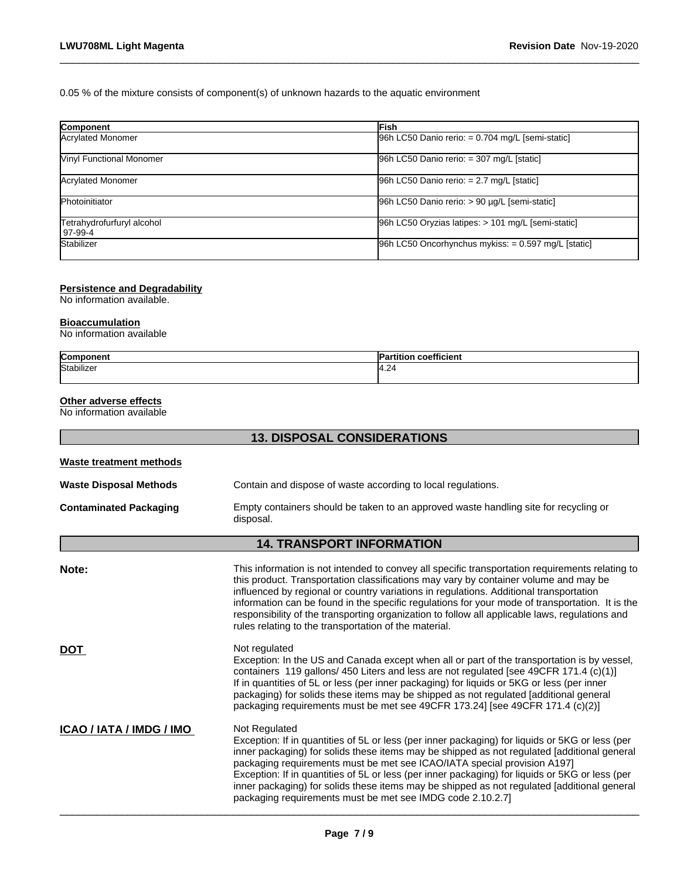0.05 % of the mixture consists of component(s) of unknown hazards to the aquatic environment

| Component                               | lFish                                                 |
|-----------------------------------------|-------------------------------------------------------|
| Acrylated Monomer                       | $[96h$ LC50 Danio rerio: = 0.704 mg/L [semi-static]   |
| <b>Winyl Functional Monomer</b>         | 96h LC50 Danio rerio: = 307 mg/L [static]             |
| Acrylated Monomer                       | $96h$ LC50 Danio rerio: = 2.7 mg/L [static]           |
| Photoinitiator                          | 96h LC50 Danio rerio: > 90 µg/L [semi-static]         |
| Tetrahydrofurfuryl alcohol<br>l 97-99-4 | 96h LC50 Oryzias latipes: > 101 mg/L [semi-static]    |
| Stabilizer                              | $96h$ LC50 Oncorhynchus mykiss: = 0.597 mg/L [static] |

 $\_$  ,  $\_$  ,  $\_$  ,  $\_$  ,  $\_$  ,  $\_$  ,  $\_$  ,  $\_$  ,  $\_$  ,  $\_$  ,  $\_$  ,  $\_$  ,  $\_$  ,  $\_$  ,  $\_$  ,  $\_$  ,  $\_$  ,  $\_$  ,  $\_$  ,  $\_$  ,  $\_$  ,  $\_$  ,  $\_$  ,  $\_$  ,  $\_$  ,  $\_$  ,  $\_$  ,  $\_$  ,  $\_$  ,  $\_$  ,  $\_$  ,  $\_$  ,  $\_$  ,  $\_$  ,  $\_$  ,  $\_$  ,  $\_$  ,

### **Persistence and Degradability**

No information available.

#### **Bioaccumulation**

No information available

| Componen<br>""                                   | .<br>.<br>п.<br>coefficient<br>нног |
|--------------------------------------------------|-------------------------------------|
| Stabilizer<br>$\sim$ $\sim$ $\sim$ $\sim$ $\sim$ | $\sim$<br>14.24                     |
|                                                  |                                     |

### **Other adverse effects**

No information available

|                                | <b>13. DISPOSAL CONSIDERATIONS</b>                                                                                                                                                                                                                                                                                                                                                                                                                                                                                                                          |
|--------------------------------|-------------------------------------------------------------------------------------------------------------------------------------------------------------------------------------------------------------------------------------------------------------------------------------------------------------------------------------------------------------------------------------------------------------------------------------------------------------------------------------------------------------------------------------------------------------|
| <b>Waste treatment methods</b> |                                                                                                                                                                                                                                                                                                                                                                                                                                                                                                                                                             |
| <b>Waste Disposal Methods</b>  | Contain and dispose of waste according to local regulations.                                                                                                                                                                                                                                                                                                                                                                                                                                                                                                |
| <b>Contaminated Packaging</b>  | Empty containers should be taken to an approved waste handling site for recycling or<br>disposal.                                                                                                                                                                                                                                                                                                                                                                                                                                                           |
|                                | <b>14. TRANSPORT INFORMATION</b>                                                                                                                                                                                                                                                                                                                                                                                                                                                                                                                            |
| Note:                          | This information is not intended to convey all specific transportation requirements relating to<br>this product. Transportation classifications may vary by container volume and may be<br>influenced by regional or country variations in regulations. Additional transportation<br>information can be found in the specific regulations for your mode of transportation. It is the<br>responsibility of the transporting organization to follow all applicable laws, regulations and<br>rules relating to the transportation of the material.             |
| <b>DOT</b>                     | Not regulated<br>Exception: In the US and Canada except when all or part of the transportation is by vessel,<br>containers 119 gallons/ 450 Liters and less are not regulated [see 49CFR 171.4 (c)(1)]<br>If in quantities of 5L or less (per inner packaging) for liquids or 5KG or less (per inner<br>packaging) for solids these items may be shipped as not regulated [additional general<br>packaging requirements must be met see 49CFR 173.24] [see 49CFR 171.4 (c)(2)]                                                                              |
| ICAO / IATA / IMDG / IMO       | Not Regulated<br>Exception: If in quantities of 5L or less (per inner packaging) for liquids or 5KG or less (per<br>inner packaging) for solids these items may be shipped as not regulated [additional general<br>packaging requirements must be met see ICAO/IATA special provision A197]<br>Exception: If in quantities of 5L or less (per inner packaging) for liquids or 5KG or less (per<br>inner packaging) for solids these items may be shipped as not regulated [additional general<br>packaging requirements must be met see IMDG code 2.10.2.7] |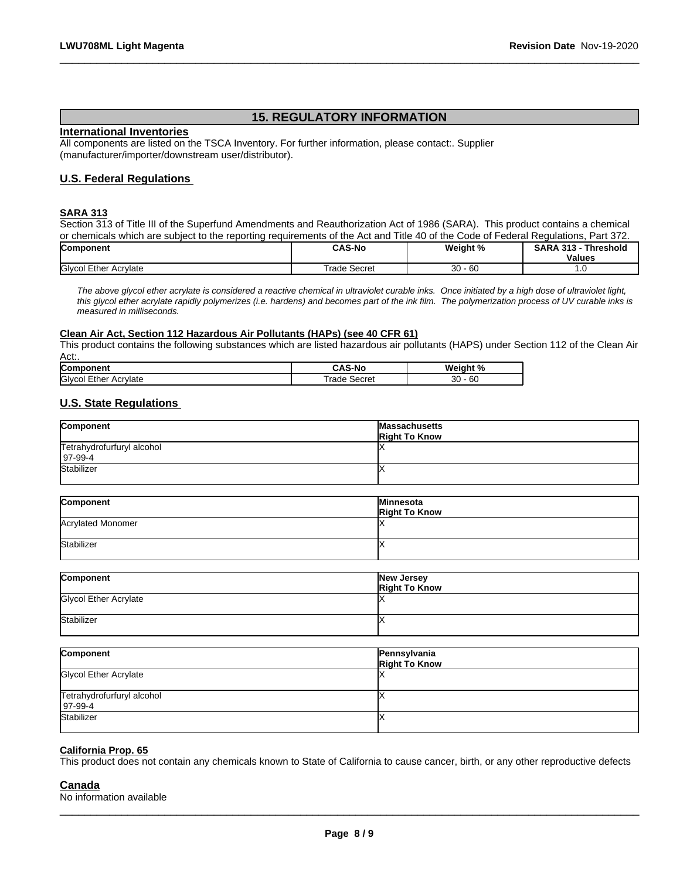### **15. REGULATORY INFORMATION**

 $\_$  ,  $\_$  ,  $\_$  ,  $\_$  ,  $\_$  ,  $\_$  ,  $\_$  ,  $\_$  ,  $\_$  ,  $\_$  ,  $\_$  ,  $\_$  ,  $\_$  ,  $\_$  ,  $\_$  ,  $\_$  ,  $\_$  ,  $\_$  ,  $\_$  ,  $\_$  ,  $\_$  ,  $\_$  ,  $\_$  ,  $\_$  ,  $\_$  ,  $\_$  ,  $\_$  ,  $\_$  ,  $\_$  ,  $\_$  ,  $\_$  ,  $\_$  ,  $\_$  ,  $\_$  ,  $\_$  ,  $\_$  ,  $\_$  ,

### **International Inventories**

All components are listed on the TSCA Inventory. For further information, please contact:. Supplier (manufacturer/importer/downstream user/distributor).

### **U.S. Federal Regulations**

### **SARA 313**

Section 313 of Title III of the Superfund Amendments and Reauthorization Act of 1986 (SARA). This product contains a chemical or chemicals which are subject to the reporting requirements of the Act and Title 40 of the Code of Federal Regulations, Part 372.<br>Component Regulations, Part 372. **Component CAS-No Weight % SARA 313 - Threshold**

|                                              | -----                     |                          | --------<br>.<br><b>Values</b> |  |
|----------------------------------------------|---------------------------|--------------------------|--------------------------------|--|
| <b>Givcol</b><br>Acrylate<br>-+505<br>- '' ' | Secret<br>rodo<br>$1-111$ | $\sim$<br>30<br>י יס - י | .                              |  |

*The above glycol ether acrylate is considered a reactive chemical in ultraviolet curable inks. Once initiated by a high dose of ultraviolet light, this glycol ether acrylate rapidly polymerizes (i.e. hardens) and becomes part of the ink film. The polymerization process of UV curable inks is measured in milliseconds.*

### **Clean Air Act,Section 112 Hazardous Air Pollutants (HAPs) (see 40 CFR 61)**

This product contains the following substances which are listed hazardous air pollutants (HAPS) under Section 112 of the Clean Air Act:.

| Component                   | <b>CAS-No</b>  | Weiaht<br>70 |
|-----------------------------|----------------|--------------|
| Glycol<br>Acrylate<br>-ther | Secret<br>rade | 30<br>- 60   |

### **U.S. State Regulations**

| Component                                 | Massachusetts<br><b>Right To Know</b> |
|-------------------------------------------|---------------------------------------|
| Tetrahydrofurfuryl alcohol<br>$ 97-99-4 $ |                                       |
| Stabilizer                                |                                       |

| Component         | Minnesota            |
|-------------------|----------------------|
|                   | <b>Right To Know</b> |
| Acrylated Monomer |                      |
| Stabilizer        |                      |

| Component             | New Jersey<br><b>Right To Know</b> |
|-----------------------|------------------------------------|
| Glycol Ether Acrylate |                                    |
| Stabilizer            |                                    |

| Component                                 | Pennsylvania<br><b>Right To Know</b> |
|-------------------------------------------|--------------------------------------|
| <b>Glycol Ether Acrylate</b>              |                                      |
| Tetrahydrofurfuryl alcohol<br>$ 97-99-4 $ |                                      |
| Stabilizer                                |                                      |

### **California Prop. 65**

This product does not contain any chemicals known to State of California to cause cancer, birth, or any other reproductive defects

### **Canada**

No information available